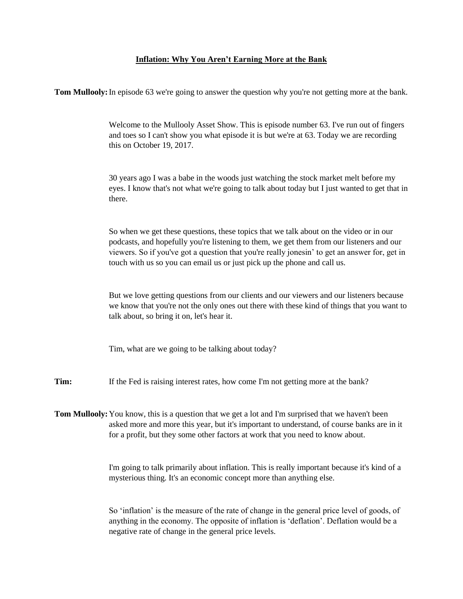## **Inflation: Why You Aren't Earning More at the Bank**

**Tom Mullooly:** In episode 63 we're going to answer the question why you're not getting more at the bank.

Welcome to the Mullooly Asset Show. This is episode number 63. I've run out of fingers and toes so I can't show you what episode it is but we're at 63. Today we are recording this on October 19, 2017.

30 years ago I was a babe in the woods just watching the stock market melt before my eyes. I know that's not what we're going to talk about today but I just wanted to get that in there.

So when we get these questions, these topics that we talk about on the video or in our podcasts, and hopefully you're listening to them, we get them from our listeners and our viewers. So if you've got a question that you're really jonesin' to get an answer for, get in touch with us so you can email us or just pick up the phone and call us.

But we love getting questions from our clients and our viewers and our listeners because we know that you're not the only ones out there with these kind of things that you want to talk about, so bring it on, let's hear it.

Tim, what are we going to be talking about today?

**Tim:** If the Fed is raising interest rates, how come I'm not getting more at the bank?

**Tom Mullooly:** You know, this is a question that we get a lot and I'm surprised that we haven't been asked more and more this year, but it's important to understand, of course banks are in it for a profit, but they some other factors at work that you need to know about.

> I'm going to talk primarily about inflation. This is really important because it's kind of a mysterious thing. It's an economic concept more than anything else.

> So 'inflation' is the measure of the rate of change in the general price level of goods, of anything in the economy. The opposite of inflation is 'deflation'. Deflation would be a negative rate of change in the general price levels.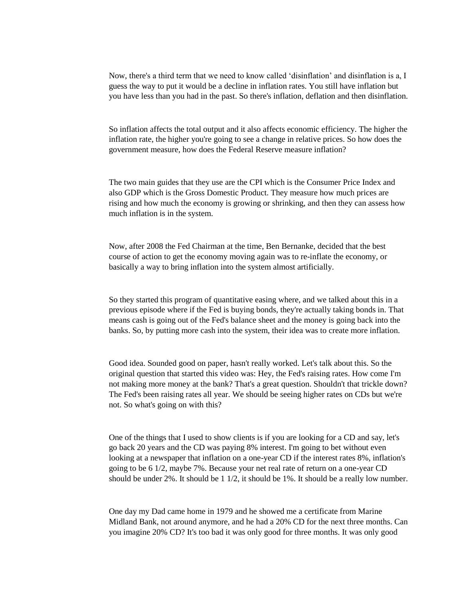Now, there's a third term that we need to know called 'disinflation' and disinflation is a, I guess the way to put it would be a decline in inflation rates. You still have inflation but you have less than you had in the past. So there's inflation, deflation and then disinflation.

So inflation affects the total output and it also affects economic efficiency. The higher the inflation rate, the higher you're going to see a change in relative prices. So how does the government measure, how does the Federal Reserve measure inflation?

The two main guides that they use are the CPI which is the Consumer Price Index and also GDP which is the Gross Domestic Product. They measure how much prices are rising and how much the economy is growing or shrinking, and then they can assess how much inflation is in the system.

Now, after 2008 the Fed Chairman at the time, Ben Bernanke, decided that the best course of action to get the economy moving again was to re-inflate the economy, or basically a way to bring inflation into the system almost artificially.

So they started this program of quantitative easing where, and we talked about this in a previous episode where if the Fed is buying bonds, they're actually taking bonds in. That means cash is going out of the Fed's balance sheet and the money is going back into the banks. So, by putting more cash into the system, their idea was to create more inflation.

Good idea. Sounded good on paper, hasn't really worked. Let's talk about this. So the original question that started this video was: Hey, the Fed's raising rates. How come I'm not making more money at the bank? That's a great question. Shouldn't that trickle down? The Fed's been raising rates all year. We should be seeing higher rates on CDs but we're not. So what's going on with this?

One of the things that I used to show clients is if you are looking for a CD and say, let's go back 20 years and the CD was paying 8% interest. I'm going to bet without even looking at a newspaper that inflation on a one-year CD if the interest rates 8%, inflation's going to be 6 1/2, maybe 7%. Because your net real rate of return on a one-year CD should be under 2%. It should be 1 1/2, it should be 1%. It should be a really low number.

One day my Dad came home in 1979 and he showed me a certificate from Marine Midland Bank, not around anymore, and he had a 20% CD for the next three months. Can you imagine 20% CD? It's too bad it was only good for three months. It was only good